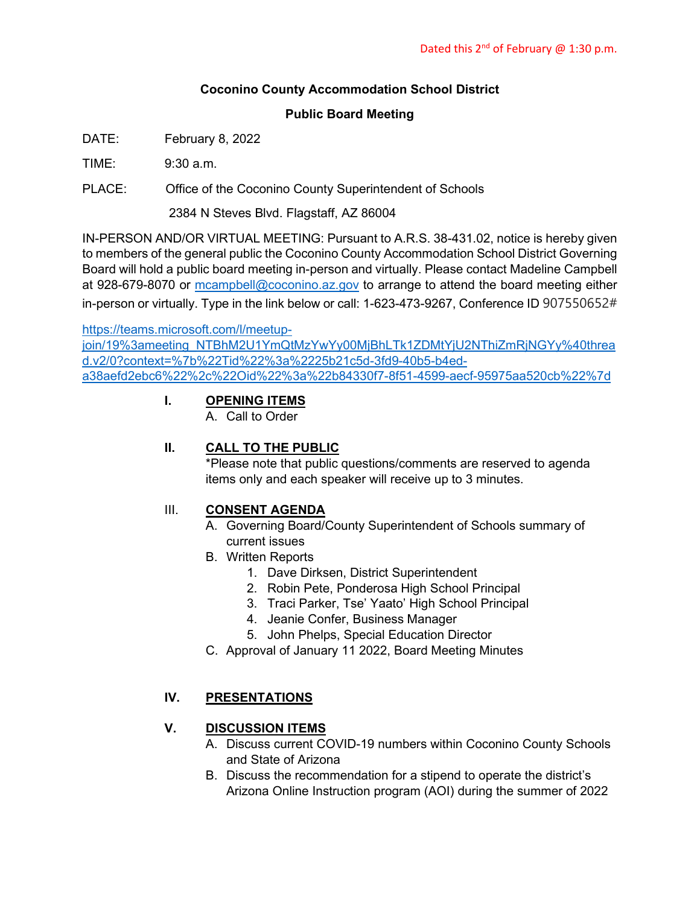# **Coconino County Accommodation School District**

#### **Public Board Meeting**

- DATE: February 8, 2022
- $TIME: 9:30 \text{ a m}$
- PLACE: Office of the Coconino County Superintendent of Schools

2384 N Steves Blvd. Flagstaff, AZ 86004

IN-PERSON AND/OR VIRTUAL MEETING: Pursuant to A.R.S. 38-431.02, notice is hereby given to members of the general public the Coconino County Accommodation School District Governing Board will hold a public board meeting in-person and virtually. Please contact Madeline Campbell at 928-679-8070 or [mcampbell@coconino.az.gov](mailto:mcampbell@coconino.az.gov) to arrange to attend the board meeting either in-person or virtually. Type in the link below or call: 1-623-473-9267, Conference ID 907550652#

[https://teams.microsoft.com/l/meetup-](https://teams.microsoft.com/l/meetup-join/19%3ameeting_NTBhM2U1YmQtMzYwYy00MjBhLTk1ZDMtYjU2NThiZmRjNGYy%40thread.v2/0?context=%7b%22Tid%22%3a%2225b21c5d-3fd9-40b5-b4ed-a38aefd2ebc6%22%2c%22Oid%22%3a%22b84330f7-8f51-4599-aecf-95975aa520cb%22%7d)

[join/19%3ameeting\\_NTBhM2U1YmQtMzYwYy00MjBhLTk1ZDMtYjU2NThiZmRjNGYy%40threa](https://teams.microsoft.com/l/meetup-join/19%3ameeting_NTBhM2U1YmQtMzYwYy00MjBhLTk1ZDMtYjU2NThiZmRjNGYy%40thread.v2/0?context=%7b%22Tid%22%3a%2225b21c5d-3fd9-40b5-b4ed-a38aefd2ebc6%22%2c%22Oid%22%3a%22b84330f7-8f51-4599-aecf-95975aa520cb%22%7d) [d.v2/0?context=%7b%22Tid%22%3a%2225b21c5d-3fd9-40b5-b4ed](https://teams.microsoft.com/l/meetup-join/19%3ameeting_NTBhM2U1YmQtMzYwYy00MjBhLTk1ZDMtYjU2NThiZmRjNGYy%40thread.v2/0?context=%7b%22Tid%22%3a%2225b21c5d-3fd9-40b5-b4ed-a38aefd2ebc6%22%2c%22Oid%22%3a%22b84330f7-8f51-4599-aecf-95975aa520cb%22%7d)[a38aefd2ebc6%22%2c%22Oid%22%3a%22b84330f7-8f51-4599-aecf-95975aa520cb%22%7d](https://teams.microsoft.com/l/meetup-join/19%3ameeting_NTBhM2U1YmQtMzYwYy00MjBhLTk1ZDMtYjU2NThiZmRjNGYy%40thread.v2/0?context=%7b%22Tid%22%3a%2225b21c5d-3fd9-40b5-b4ed-a38aefd2ebc6%22%2c%22Oid%22%3a%22b84330f7-8f51-4599-aecf-95975aa520cb%22%7d)

## **I. OPENING ITEMS**

A. Call to Order

# **II. CALL TO THE PUBLIC**

\*Please note that public questions/comments are reserved to agenda items only and each speaker will receive up to 3 minutes.

## III. **CONSENT AGENDA**

- A. Governing Board/County Superintendent of Schools summary of current issues
- B. Written Reports
	- 1. Dave Dirksen, District Superintendent
	- 2. Robin Pete, Ponderosa High School Principal
	- 3. Traci Parker, Tse' Yaato' High School Principal
	- 4. Jeanie Confer, Business Manager
	- 5. John Phelps, Special Education Director
- C. Approval of January 11 2022, Board Meeting Minutes

## **IV. PRESENTATIONS**

## **V. DISCUSSION ITEMS**

- A. Discuss current COVID-19 numbers within Coconino County Schools and State of Arizona
- B. Discuss the recommendation for a stipend to operate the district's Arizona Online Instruction program (AOI) during the summer of 2022